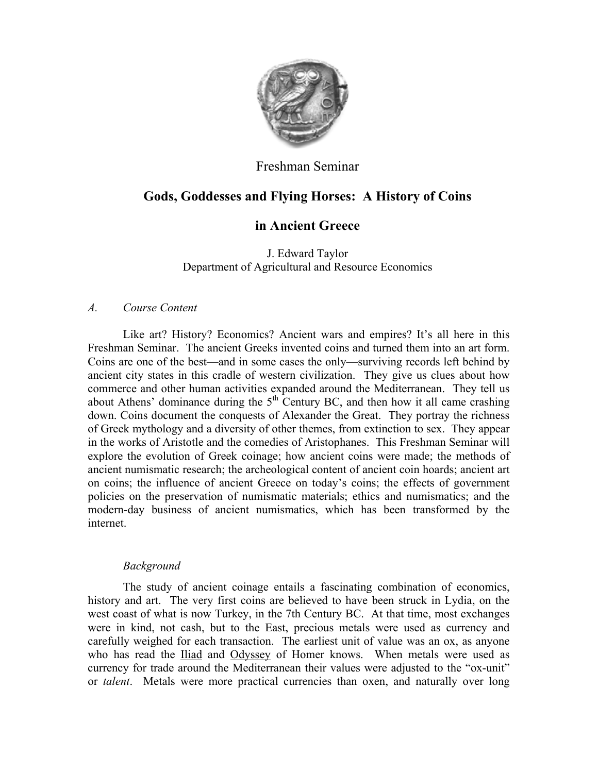

## Freshman Seminar

# **Gods, Goddesses and Flying Horses: A History of Coins**

# **in Ancient Greece**

J. Edward Taylor Department of Agricultural and Resource Economics

### *A. Course Content*

Like art? History? Economics? Ancient wars and empires? It's all here in this Freshman Seminar. The ancient Greeks invented coins and turned them into an art form. Coins are one of the best—and in some cases the only—surviving records left behind by ancient city states in this cradle of western civilization. They give us clues about how commerce and other human activities expanded around the Mediterranean. They tell us about Athens' dominance during the  $5<sup>th</sup>$  Century BC, and then how it all came crashing down. Coins document the conquests of Alexander the Great. They portray the richness of Greek mythology and a diversity of other themes, from extinction to sex. They appear in the works of Aristotle and the comedies of Aristophanes. This Freshman Seminar will explore the evolution of Greek coinage; how ancient coins were made; the methods of ancient numismatic research; the archeological content of ancient coin hoards; ancient art on coins; the influence of ancient Greece on today's coins; the effects of government policies on the preservation of numismatic materials; ethics and numismatics; and the modern-day business of ancient numismatics, which has been transformed by the internet.

### *Background*

The study of ancient coinage entails a fascinating combination of economics, history and art. The very first coins are believed to have been struck in Lydia, on the west coast of what is now Turkey, in the 7th Century BC. At that time, most exchanges were in kind, not cash, but to the East, precious metals were used as currency and carefully weighed for each transaction. The earliest unit of value was an ox, as anyone who has read the Iliad and Odyssey of Homer knows. When metals were used as currency for trade around the Mediterranean their values were adjusted to the "ox-unit" or *talent*. Metals were more practical currencies than oxen, and naturally over long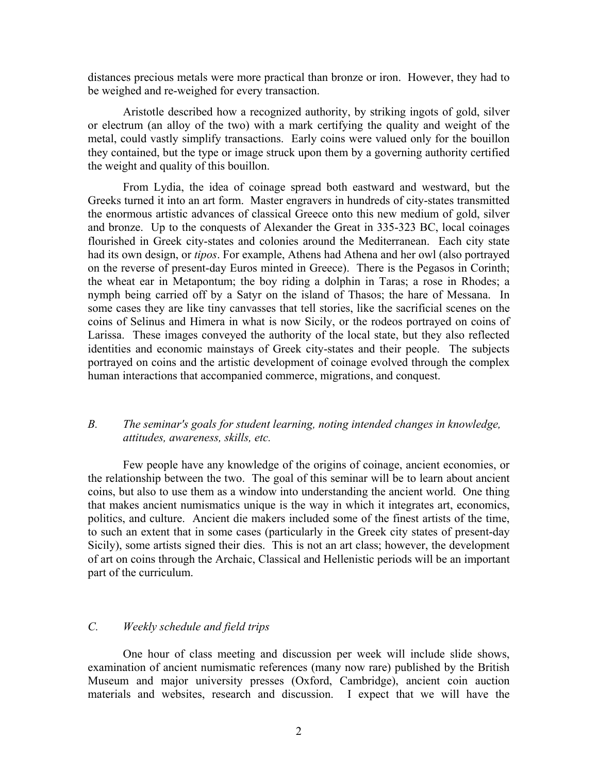distances precious metals were more practical than bronze or iron. However, they had to be weighed and re-weighed for every transaction.

Aristotle described how a recognized authority, by striking ingots of gold, silver or electrum (an alloy of the two) with a mark certifying the quality and weight of the metal, could vastly simplify transactions. Early coins were valued only for the bouillon they contained, but the type or image struck upon them by a governing authority certified the weight and quality of this bouillon.

From Lydia, the idea of coinage spread both eastward and westward, but the Greeks turned it into an art form. Master engravers in hundreds of city-states transmitted the enormous artistic advances of classical Greece onto this new medium of gold, silver and bronze. Up to the conquests of Alexander the Great in 335-323 BC, local coinages flourished in Greek city-states and colonies around the Mediterranean. Each city state had its own design, or *tipos*. For example, Athens had Athena and her owl (also portrayed on the reverse of present-day Euros minted in Greece). There is the Pegasos in Corinth; the wheat ear in Metapontum; the boy riding a dolphin in Taras; a rose in Rhodes; a nymph being carried off by a Satyr on the island of Thasos; the hare of Messana. In some cases they are like tiny canvasses that tell stories, like the sacrificial scenes on the coins of Selinus and Himera in what is now Sicily, or the rodeos portrayed on coins of Larissa. These images conveyed the authority of the local state, but they also reflected identities and economic mainstays of Greek city-states and their people. The subjects portrayed on coins and the artistic development of coinage evolved through the complex human interactions that accompanied commerce, migrations, and conquest.

### *B. The seminar's goals for student learning, noting intended changes in knowledge, attitudes, awareness, skills, etc.*

Few people have any knowledge of the origins of coinage, ancient economies, or the relationship between the two. The goal of this seminar will be to learn about ancient coins, but also to use them as a window into understanding the ancient world. One thing that makes ancient numismatics unique is the way in which it integrates art, economics, politics, and culture. Ancient die makers included some of the finest artists of the time, to such an extent that in some cases (particularly in the Greek city states of present-day Sicily), some artists signed their dies. This is not an art class; however, the development of art on coins through the Archaic, Classical and Hellenistic periods will be an important part of the curriculum.

#### *C. Weekly schedule and field trips*

One hour of class meeting and discussion per week will include slide shows, examination of ancient numismatic references (many now rare) published by the British Museum and major university presses (Oxford, Cambridge), ancient coin auction materials and websites, research and discussion. I expect that we will have the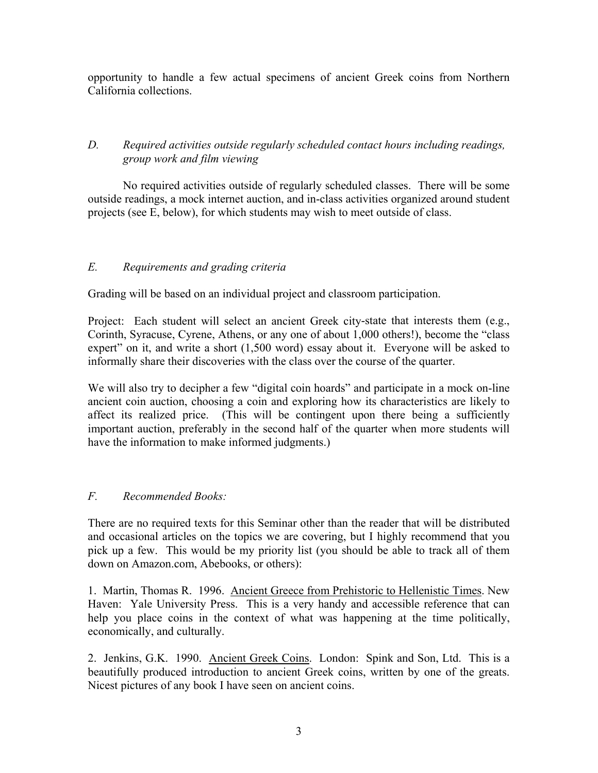opportunity to handle a few actual specimens of ancient Greek coins from Northern California collections.

## *D. Required activities outside regularly scheduled contact hours including readings, group work and film viewing*

No required activities outside of regularly scheduled classes. There will be some outside readings, a mock internet auction, and in-class activities organized around student projects (see E, below), for which students may wish to meet outside of class.

## *E. Requirements and grading criteria*

Grading will be based on an individual project and classroom participation.

Project: Each student will select an ancient Greek city-state that interests them (e.g., Corinth, Syracuse, Cyrene, Athens, or any one of about 1,000 others!), become the "class expert" on it, and write a short (1,500 word) essay about it. Everyone will be asked to informally share their discoveries with the class over the course of the quarter.

We will also try to decipher a few "digital coin hoards" and participate in a mock on-line ancient coin auction, choosing a coin and exploring how its characteristics are likely to affect its realized price. (This will be contingent upon there being a sufficiently important auction, preferably in the second half of the quarter when more students will have the information to make informed judgments.)

### *F. Recommended Books:*

There are no required texts for this Seminar other than the reader that will be distributed and occasional articles on the topics we are covering, but I highly recommend that you pick up a few. This would be my priority list (you should be able to track all of them down on Amazon.com, Abebooks, or others):

1. Martin, Thomas R. 1996. Ancient Greece from Prehistoric to Hellenistic Times. New Haven: Yale University Press. This is a very handy and accessible reference that can help you place coins in the context of what was happening at the time politically, economically, and culturally.

2. Jenkins, G.K. 1990. Ancient Greek Coins. London: Spink and Son, Ltd. This is a beautifully produced introduction to ancient Greek coins, written by one of the greats. Nicest pictures of any book I have seen on ancient coins.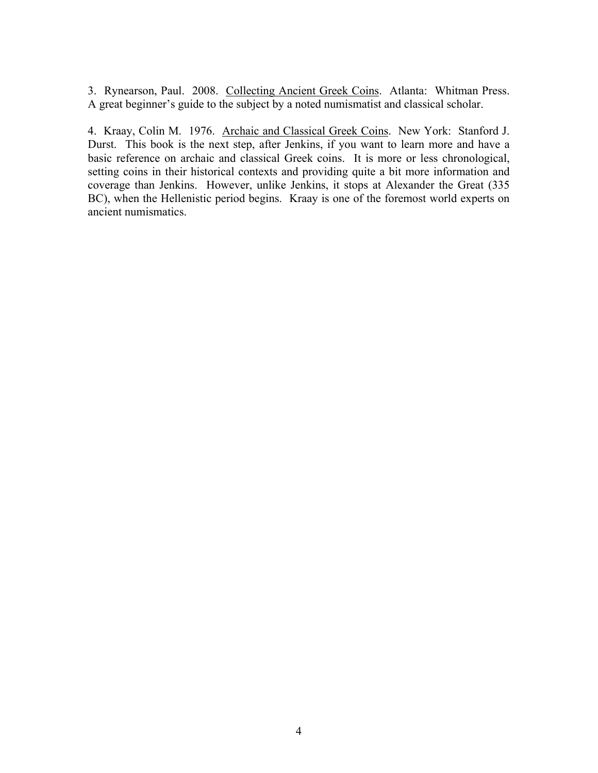3. Rynearson, Paul. 2008. Collecting Ancient Greek Coins. Atlanta: Whitman Press. A great beginner's guide to the subject by a noted numismatist and classical scholar.

4. Kraay, Colin M. 1976. Archaic and Classical Greek Coins. New York: Stanford J. Durst. This book is the next step, after Jenkins, if you want to learn more and have a basic reference on archaic and classical Greek coins. It is more or less chronological, setting coins in their historical contexts and providing quite a bit more information and coverage than Jenkins. However, unlike Jenkins, it stops at Alexander the Great (335 BC), when the Hellenistic period begins. Kraay is one of the foremost world experts on ancient numismatics.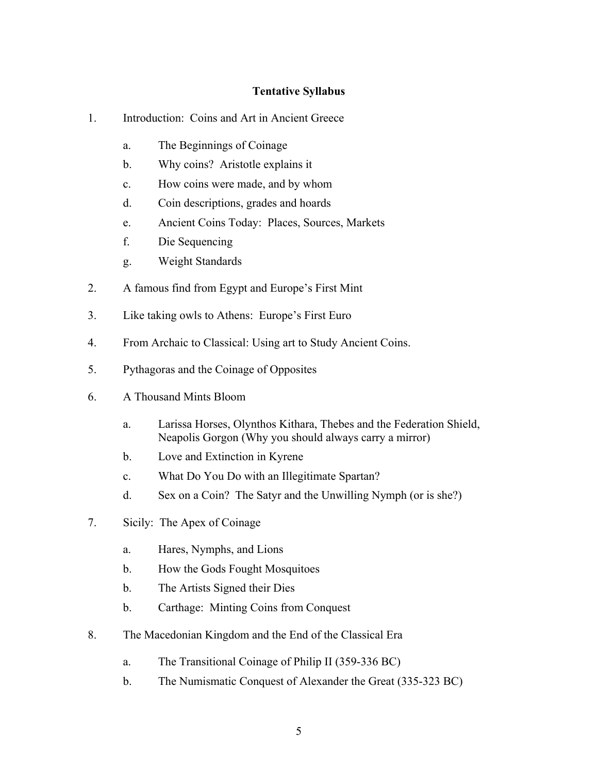### **Tentative Syllabus**

- 1. Introduction: Coins and Art in Ancient Greece
	- a. The Beginnings of Coinage
	- b. Why coins? Aristotle explains it
	- c. How coins were made, and by whom
	- d. Coin descriptions, grades and hoards
	- e. Ancient Coins Today: Places, Sources, Markets
	- f. Die Sequencing
	- g. Weight Standards
- 2. A famous find from Egypt and Europe's First Mint
- 3. Like taking owls to Athens: Europe's First Euro
- 4. From Archaic to Classical: Using art to Study Ancient Coins.
- 5. Pythagoras and the Coinage of Opposites
- 6. A Thousand Mints Bloom
	- a. Larissa Horses, Olynthos Kithara, Thebes and the Federation Shield, Neapolis Gorgon (Why you should always carry a mirror)
	- b. Love and Extinction in Kyrene
	- c. What Do You Do with an Illegitimate Spartan?
	- d. Sex on a Coin? The Satyr and the Unwilling Nymph (or is she?)
- 7. Sicily: The Apex of Coinage
	- a. Hares, Nymphs, and Lions
	- b. How the Gods Fought Mosquitoes
	- b. The Artists Signed their Dies
	- b. Carthage: Minting Coins from Conquest
- 8. The Macedonian Kingdom and the End of the Classical Era
	- a. The Transitional Coinage of Philip II (359-336 BC)
	- b. The Numismatic Conquest of Alexander the Great (335-323 BC)